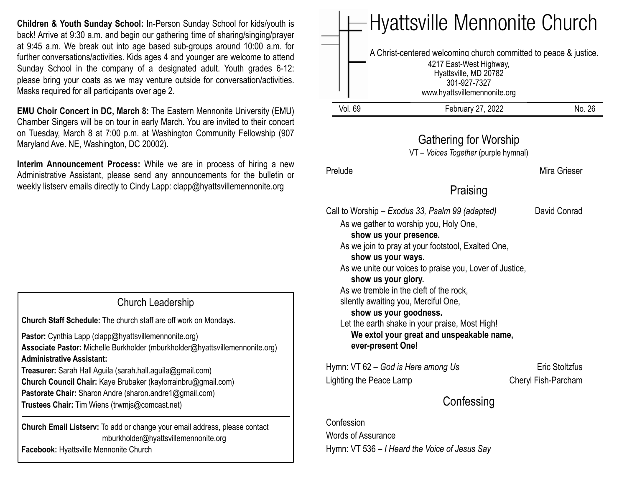**Children & Youth Sunday School:** In-Person Sunday School for kids/youth is back! Arrive at 9:30 a.m. and begin our gathering time of sharing/singing/prayer at 9:45 a.m. We break out into age based sub-groups around 10:00 a.m. for further conversations/activities. Kids ages 4 and younger are welcome to attend Sunday School in the company of a designated adult. Youth grades 6-12: please bring your coats as we may venture outside for conversation/activities. Masks required for all participants over age 2.

**EMU Choir Concert in DC, March 8:** The Eastern Mennonite University (EMU) Chamber Singers will be on tour in early March. You are invited to their concert on Tuesday, March 8 at 7:00 p.m. at Washington Community Fellowship (907 Maryland Ave. NE, Washington, DC 20002).

**Interim Announcement Process:** While we are in process of hiring a new Administrative Assistant, please send any announcements for the bulletin or weekly listserv emails directly to Cindy Lapp: [clapp@hyattsvillemennonite.org](mailto:clapp@hyattsvillemennonite.org)

Church Leadership

**Church Staff Schedule:** The church staff are off work on Mondays.

**Pastor:** Cynthia Lapp (clapp@hyattsvillemennonite.org) **Associate Pastor:** Michelle Burkholder (mburkholder@hyattsvillemennonite.org) **Administrative Assistant:**

**Treasurer:** Sarah Hall Aguila (sarah.hall.aguila@gmail.com) **Church Council Chair:** Kaye Brubaker (kaylorrainbru@gmail.com) **Pastorate Chair:** Sharon Andre (sharon.andre1@gmail.com) **Trustees Chair:** Tim Wiens (trwmjs@comcast.net)

**Church Email Listserv:** To add or change your email address, please contact mburkholder@hyattsvillemennonite.org **Facebook:** Hyattsville Mennonite Church

|         | $-$ Hyattsville Mennonite Church                                                                                                                                     |       |
|---------|----------------------------------------------------------------------------------------------------------------------------------------------------------------------|-------|
|         | A Christ-centered welcoming church committed to peace & justice.<br>4217 East-West Highway,<br>Hyattsville, MD 20782<br>301-927-7327<br>www.hyattsvillemennonite.org |       |
| Vol. 69 | February 27, 2022                                                                                                                                                    | No 26 |

## Gathering for Worship

VT – *Voices Together* (purple hymnal)

Prelude Mira Grieser

# Praising

Call to Worship – *Exodus 33, Psalm 99 (adapted)* David Conrad

As we gather to worship you, Holy One,

### **show us your presence.**

As we join to pray at your footstool, Exalted One,

### **show us your ways.**

As we unite our voices to praise you, Lover of Justice,

#### **show us your glory.**

As we tremble in the cleft of the rock, silently awaiting you, Merciful One,

#### **show us your goodness.**

Let the earth shake in your praise, Most High! **We extol your great and unspeakable name, ever-present One!**

Hymn: VT 62 – *God is Here among Us* Eric Stoltzfus Lighting the Peace Lamp Cheryl Fish-Parcham

# **Confessing**

Confession Words of Assurance Hymn: VT 536 – *I Heard the Voice of Jesus Say*